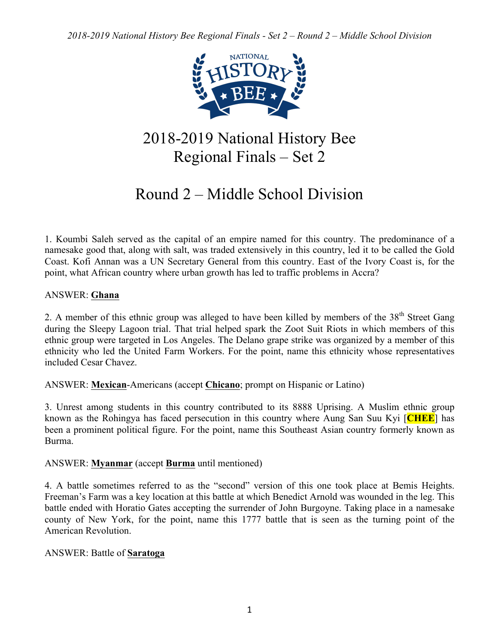

# 2018-2019 National History Bee Regional Finals – Set 2

# Round 2 – Middle School Division

1. Koumbi Saleh served as the capital of an empire named for this country. The predominance of a namesake good that, along with salt, was traded extensively in this country, led it to be called the Gold Coast. Kofi Annan was a UN Secretary General from this country. East of the Ivory Coast is, for the point, what African country where urban growth has led to traffic problems in Accra?

# ANSWER: **Ghana**

2. A member of this ethnic group was alleged to have been killed by members of the 38<sup>th</sup> Street Gang during the Sleepy Lagoon trial. That trial helped spark the Zoot Suit Riots in which members of this ethnic group were targeted in Los Angeles. The Delano grape strike was organized by a member of this ethnicity who led the United Farm Workers. For the point, name this ethnicity whose representatives included Cesar Chavez.

ANSWER: **Mexican**-Americans (accept **Chicano**; prompt on Hispanic or Latino)

3. Unrest among students in this country contributed to its 8888 Uprising. A Muslim ethnic group known as the Rohingya has faced persecution in this country where Aung San Suu Kyi [**CHEE**] has been a prominent political figure. For the point, name this Southeast Asian country formerly known as Burma.

## ANSWER: **Myanmar** (accept **Burma** until mentioned)

4. A battle sometimes referred to as the "second" version of this one took place at Bemis Heights. Freeman's Farm was a key location at this battle at which Benedict Arnold was wounded in the leg. This battle ended with Horatio Gates accepting the surrender of John Burgoyne. Taking place in a namesake county of New York, for the point, name this 1777 battle that is seen as the turning point of the American Revolution.

## ANSWER: Battle of **Saratoga**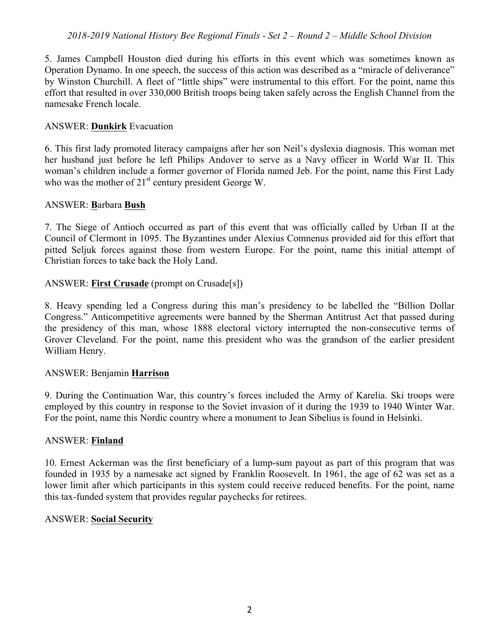5. James Campbell Houston died during his efforts in this event which was sometimes known as Operation Dynamo. In one speech, the success of this action was described as a "miracle of deliverance" by Winston Churchill. A fleet of "little ships" were instrumental to this effort. For the point, name this effort that resulted in over 330,000 British troops being taken safely across the English Channel from the namesake French locale.

### ANSWER: **Dunkirk** Evacuation

6. This first lady promoted literacy campaigns after her son Neil's dyslexia diagnosis. This woman met her husband just before he left Philips Andover to serve as a Navy officer in World War II. This woman's children include a former governor of Florida named Jeb. For the point, name this First Lady who was the mother of  $21<sup>st</sup>$  century president George W.

### ANSWER: **B**arbara **Bush**

7. The Siege of Antioch occurred as part of this event that was officially called by Urban II at the Council of Clermont in 1095. The Byzantines under Alexius Comnenus provided aid for this effort that pitted Seljuk forces against those from western Europe. For the point, name this initial attempt of Christian forces to take back the Holy Land.

### ANSWER: **First Crusade** (prompt on Crusade[s])

8. Heavy spending led a Congress during this man's presidency to be labelled the "Billion Dollar Congress." Anticompetitive agreements were banned by the Sherman Antitrust Act that passed during the presidency of this man, whose 1888 electoral victory interrupted the non-consecutive terms of Grover Cleveland. For the point, name this president who was the grandson of the earlier president William Henry.

### ANSWER: Benjamin **Harrison**

9. During the Continuation War, this country's forces included the Army of Karelia. Ski troops were employed by this country in response to the Soviet invasion of it during the 1939 to 1940 Winter War. For the point, name this Nordic country where a monument to Jean Sibelius is found in Helsinki.

#### ANSWER: **Finland**

10. Ernest Ackerman was the first beneficiary of a lump-sum payout as part of this program that was founded in 1935 by a namesake act signed by Franklin Roosevelt. In 1961, the age of 62 was set as a lower limit after which participants in this system could receive reduced benefits. For the point, name this tax-funded system that provides regular paychecks for retirees.

### ANSWER: **Social Security**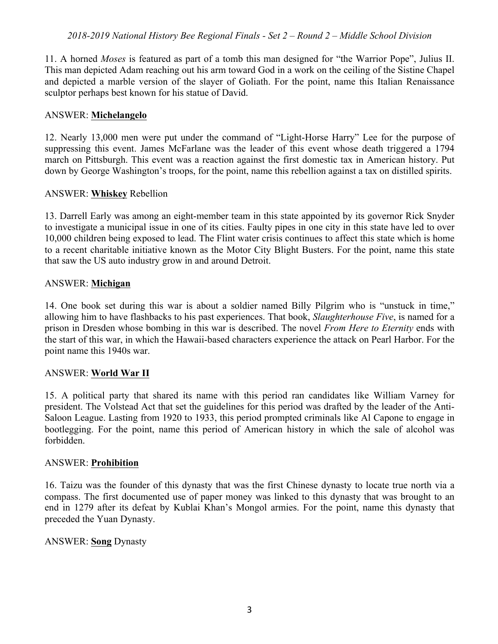11. A horned *Moses* is featured as part of a tomb this man designed for "the Warrior Pope", Julius II. This man depicted Adam reaching out his arm toward God in a work on the ceiling of the Sistine Chapel and depicted a marble version of the slayer of Goliath. For the point, name this Italian Renaissance sculptor perhaps best known for his statue of David.

### ANSWER: **Michelangelo**

12. Nearly 13,000 men were put under the command of "Light-Horse Harry" Lee for the purpose of suppressing this event. James McFarlane was the leader of this event whose death triggered a 1794 march on Pittsburgh. This event was a reaction against the first domestic tax in American history. Put down by George Washington's troops, for the point, name this rebellion against a tax on distilled spirits.

### ANSWER: **Whiskey** Rebellion

13. Darrell Early was among an eight-member team in this state appointed by its governor Rick Snyder to investigate a municipal issue in one of its cities. Faulty pipes in one city in this state have led to over 10,000 children being exposed to lead. The Flint water crisis continues to affect this state which is home to a recent charitable initiative known as the Motor City Blight Busters. For the point, name this state that saw the US auto industry grow in and around Detroit.

### ANSWER: **Michigan**

14. One book set during this war is about a soldier named Billy Pilgrim who is "unstuck in time," allowing him to have flashbacks to his past experiences. That book, *Slaughterhouse Five*, is named for a prison in Dresden whose bombing in this war is described. The novel *From Here to Eternity* ends with the start of this war, in which the Hawaii-based characters experience the attack on Pearl Harbor. For the point name this 1940s war.

### ANSWER: **World War II**

15. A political party that shared its name with this period ran candidates like William Varney for president. The Volstead Act that set the guidelines for this period was drafted by the leader of the Anti-Saloon League. Lasting from 1920 to 1933, this period prompted criminals like Al Capone to engage in bootlegging. For the point, name this period of American history in which the sale of alcohol was forbidden.

#### ANSWER: **Prohibition**

16. Taizu was the founder of this dynasty that was the first Chinese dynasty to locate true north via a compass. The first documented use of paper money was linked to this dynasty that was brought to an end in 1279 after its defeat by Kublai Khan's Mongol armies. For the point, name this dynasty that preceded the Yuan Dynasty.

### ANSWER: **Song** Dynasty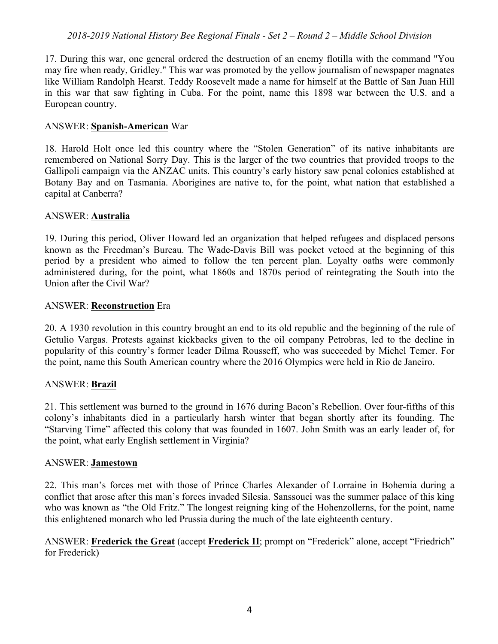17. During this war, one general ordered the destruction of an enemy flotilla with the command "You may fire when ready, Gridley." This war was promoted by the yellow journalism of newspaper magnates like William Randolph Hearst. Teddy Roosevelt made a name for himself at the Battle of San Juan Hill in this war that saw fighting in Cuba. For the point, name this 1898 war between the U.S. and a European country.

### ANSWER: **Spanish-American** War

18. Harold Holt once led this country where the "Stolen Generation" of its native inhabitants are remembered on National Sorry Day. This is the larger of the two countries that provided troops to the Gallipoli campaign via the ANZAC units. This country's early history saw penal colonies established at Botany Bay and on Tasmania. Aborigines are native to, for the point, what nation that established a capital at Canberra?

#### ANSWER: **Australia**

19. During this period, Oliver Howard led an organization that helped refugees and displaced persons known as the Freedman's Bureau. The Wade-Davis Bill was pocket vetoed at the beginning of this period by a president who aimed to follow the ten percent plan. Loyalty oaths were commonly administered during, for the point, what 1860s and 1870s period of reintegrating the South into the Union after the Civil War?

#### ANSWER: **Reconstruction** Era

20. A 1930 revolution in this country brought an end to its old republic and the beginning of the rule of Getulio Vargas. Protests against kickbacks given to the oil company Petrobras, led to the decline in popularity of this country's former leader Dilma Rousseff, who was succeeded by Michel Temer. For the point, name this South American country where the 2016 Olympics were held in Rio de Janeiro.

### ANSWER: **Brazil**

21. This settlement was burned to the ground in 1676 during Bacon's Rebellion. Over four-fifths of this colony's inhabitants died in a particularly harsh winter that began shortly after its founding. The "Starving Time" affected this colony that was founded in 1607. John Smith was an early leader of, for the point, what early English settlement in Virginia?

#### ANSWER: **Jamestown**

22. This man's forces met with those of Prince Charles Alexander of Lorraine in Bohemia during a conflict that arose after this man's forces invaded Silesia. Sanssouci was the summer palace of this king who was known as "the Old Fritz." The longest reigning king of the Hohenzollerns, for the point, name this enlightened monarch who led Prussia during the much of the late eighteenth century.

ANSWER: **Frederick the Great** (accept **Frederick II**; prompt on "Frederick" alone, accept "Friedrich" for Frederick)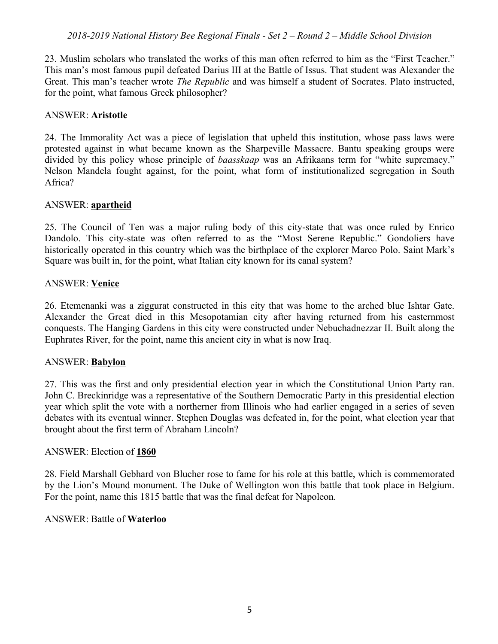23. Muslim scholars who translated the works of this man often referred to him as the "First Teacher." This man's most famous pupil defeated Darius III at the Battle of Issus. That student was Alexander the Great. This man's teacher wrote *The Republic* and was himself a student of Socrates. Plato instructed, for the point, what famous Greek philosopher?

## ANSWER: **Aristotle**

24. The Immorality Act was a piece of legislation that upheld this institution, whose pass laws were protested against in what became known as the Sharpeville Massacre. Bantu speaking groups were divided by this policy whose principle of *baasskaap* was an Afrikaans term for "white supremacy." Nelson Mandela fought against, for the point, what form of institutionalized segregation in South Africa?

### ANSWER: **apartheid**

25. The Council of Ten was a major ruling body of this city-state that was once ruled by Enrico Dandolo. This city-state was often referred to as the "Most Serene Republic." Gondoliers have historically operated in this country which was the birthplace of the explorer Marco Polo. Saint Mark's Square was built in, for the point, what Italian city known for its canal system?

## ANSWER: **Venice**

26. Etemenanki was a ziggurat constructed in this city that was home to the arched blue Ishtar Gate. Alexander the Great died in this Mesopotamian city after having returned from his easternmost conquests. The Hanging Gardens in this city were constructed under Nebuchadnezzar II. Built along the Euphrates River, for the point, name this ancient city in what is now Iraq.

## ANSWER: **Babylon**

27. This was the first and only presidential election year in which the Constitutional Union Party ran. John C. Breckinridge was a representative of the Southern Democratic Party in this presidential election year which split the vote with a northerner from Illinois who had earlier engaged in a series of seven debates with its eventual winner. Stephen Douglas was defeated in, for the point, what election year that brought about the first term of Abraham Lincoln?

## ANSWER: Election of **1860**

28. Field Marshall Gebhard von Blucher rose to fame for his role at this battle, which is commemorated by the Lion's Mound monument. The Duke of Wellington won this battle that took place in Belgium. For the point, name this 1815 battle that was the final defeat for Napoleon.

### ANSWER: Battle of **Waterloo**